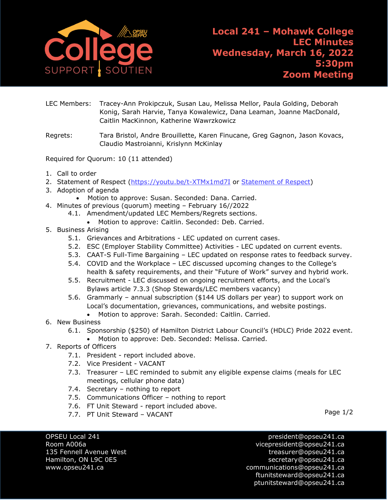

- LEC Members: Tracey-Ann Prokipczuk, Susan Lau, Melissa Mellor, Paula Golding, Deborah Konig, Sarah Harvie, Tanya Kowalewicz, Dana Leaman, Joanne MacDonald, Caitlin MacKinnon, Katherine Wawrzkowicz
- Regrets: Tara Bristol, Andre Brouillette, Karen Finucane, Greg Gagnon, Jason Kovacs, Claudio Mastroianni, Krislynn McKinlay

Required for Quorum: 10 (11 attended)

- 1. Call to order
- 2. [Statement of Respect](https://opseu.org/wp-content/uploads/2014/04/Statement-of-Respect-2019.pdf) [\(https://youtu.be/t-XTMx1md7I](https://youtu.be/t-XTMx1md7I) or [Statement of Respect\)](https://www.opseu.org/information/tools-and-resources/statement-of-respect/9709/)
- 3. Adoption of agenda
	- Motion to approve: Susan. Seconded: Dana. Carried.
- 4. Minutes of previous (quorum) meeting February 16//2022
	- 4.1. Amendment/updated LEC Members/Regrets sections.
		- Motion to approve: Caitlin. Seconded: Deb. Carried.
- 5. Business Arising
	- 5.1. Grievances and Arbitrations LEC updated on current cases.
	- 5.2. ESC (Employer Stability Committee) Activities LEC updated on current events.
	- 5.3. CAAT-S Full-Time Bargaining LEC updated on response rates to feedback survey.
	- 5.4. COVID and the Workplace LEC discussed upcoming changes to the College's health & safety requirements, and their "Future of Work" survey and hybrid work.
	- 5.5. Recruitment LEC discussed on ongoing recruitment efforts, and the Local's Bylaws article 7.3.3 (Shop Stewards/LEC members vacancy)
	- 5.6. Grammarly annual subscription (\$144 US dollars per year) to support work on Local's documentation, grievances, communications, and website postings.
		- Motion to approve: Sarah. Seconded: Caitlin. Carried.
- 6. New Business
	- 6.1. Sponsorship (\$250) of Hamilton District Labour Council's (HDLC) Pride 2022 event.
		- Motion to approve: Deb. Seconded: Melissa. Carried.
- 7. Reports of Officers
	- 7.1. President report included above.
	- 7.2. Vice President VACANT
	- 7.3. Treasurer LEC reminded to submit any eligible expense claims (meals for LEC meetings, cellular phone data)
	- 7.4. Secretary nothing to report
	- 7.5. Communications Officer nothing to report
	- 7.6. FT Unit Steward report included above.
	- 7.7. PT Unit Steward VACANT

OPSEU Local 241 **president@opseu241.ca** Room A006a vicepresident@opseu241.ca 135 Fennell Avenue West [treasurer@opseu241.ca](mailto:treasurer@opseu241.ca) Hamilton, ON L9C 0E5 [secretary@opseu241.ca](mailto:secretary@opseu241.ca) www.opseu241.ca communications@opseu241.ca [ftunitsteward@opseu241.ca](mailto:ftunitsteward@opseu241.ca) ptunitsteward@opseu241.ca